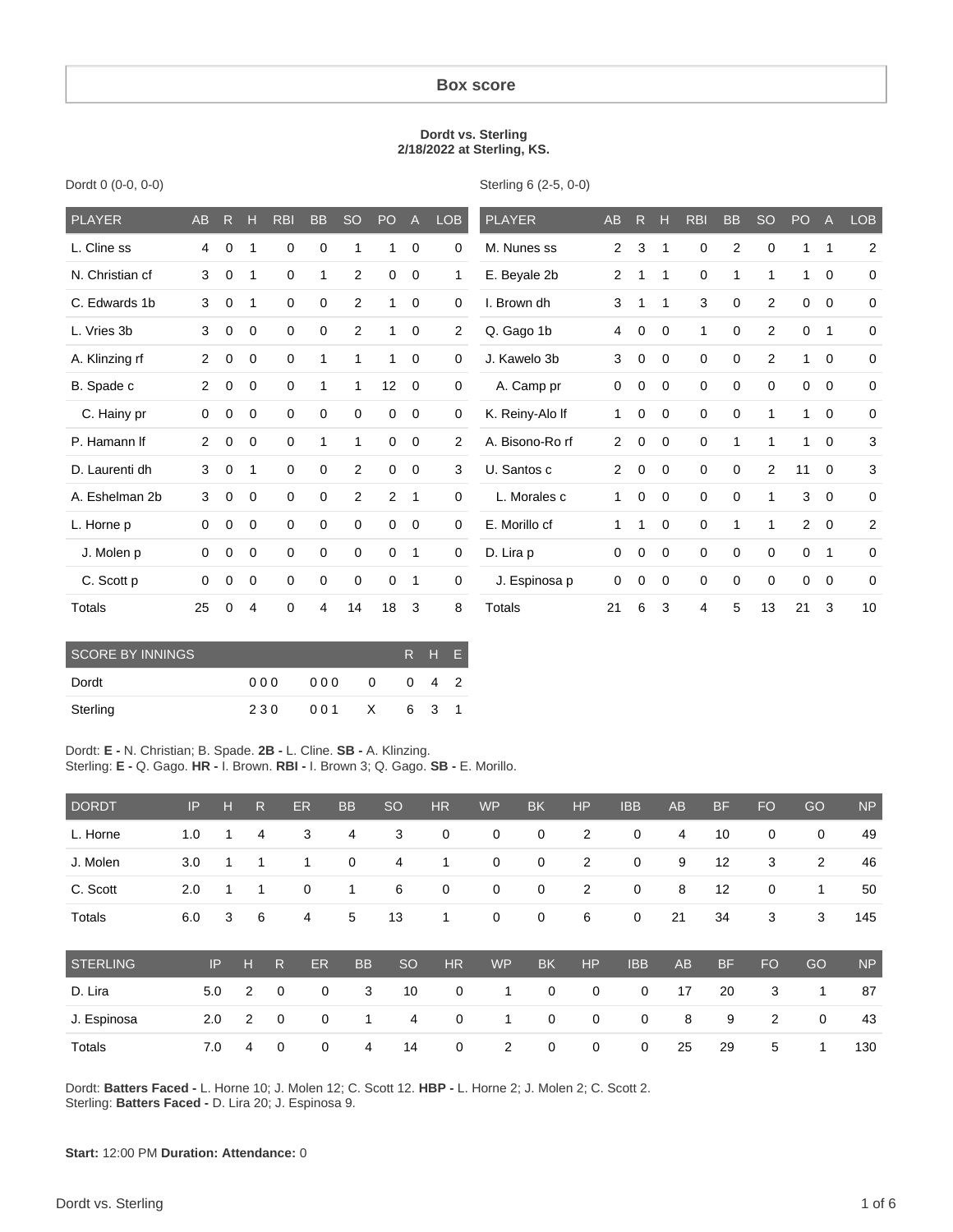#### **Box score**

#### **Dordt vs. Sterling 2/18/2022 at Sterling, KS.**

| <b>PLAYER</b>   | <b>AB</b>      | $\mathsf{R}$ | н            | <b>RBI</b>  | <b>BB</b>    | <b>SO</b>   | PO          | $\overline{A}$ | LOB         | <b>PLAYER</b>   | <b>AB</b>      | $\mathsf{R}$ | н            | <b>RBI</b>   | <b>BB</b>      | <b>SO</b>   | PO          | $\overline{A}$ | <b>LOB</b>     |
|-----------------|----------------|--------------|--------------|-------------|--------------|-------------|-------------|----------------|-------------|-----------------|----------------|--------------|--------------|--------------|----------------|-------------|-------------|----------------|----------------|
| L. Cline ss     | 4              | $\mathbf 0$  |              | $\mathbf 0$ | $\mathbf 0$  | 1           | 1           | $\mathbf 0$    | $\mathbf 0$ | M. Nunes ss     | $\overline{2}$ | 3            | 1            | $\mathbf 0$  | $\overline{2}$ | $\mathbf 0$ | 1           | 1              | $\overline{2}$ |
| N. Christian cf | 3              | 0            | 1            | 0           | 1            | 2           | 0           | $\mathbf 0$    | 1           | E. Beyale 2b    | 2              | 1            | 1            | 0            | 1              | 1           | 1           | 0              | 0              |
| C. Edwards 1b   | 3              | 0            | 1            | 0           | 0            | 2           | 1           | $\Omega$       | $\mathbf 0$ | I. Brown dh     | 3              | 1            | 1            | 3            | $\mathbf 0$    | 2           | 0           | $\mathbf 0$    | 0              |
| L. Vries 3b     | 3              | 0            | 0            | $\mathbf 0$ | $\mathbf 0$  | 2           | 1           | $\mathbf 0$    | 2           | Q. Gago 1b      | 4              | 0            | 0            | $\mathbf{1}$ | 0              | 2           | $\mathbf 0$ | -1             | $\mathbf 0$    |
| A. Klinzing rf  | $\overline{2}$ | 0            | 0            | $\mathbf 0$ | $\mathbf{1}$ | 1           | 1           | $\mathbf 0$    | $\mathbf 0$ | J. Kawelo 3b    | 3              | $\mathbf 0$  | $\mathbf{0}$ | $\mathbf 0$  | $\mathbf 0$    | 2           | 1           | $\mathbf 0$    | $\mathbf 0$    |
| B. Spade c      | $\overline{2}$ | 0            | 0            | 0           | 1            | 1           | 12          | $\mathbf 0$    | $\mathbf 0$ | A. Camp pr      | 0              | 0            | 0            | $\mathbf 0$  | 0              | $\mathbf 0$ | $\mathbf 0$ | $\mathbf 0$    | $\mathbf 0$    |
| C. Hainy pr     | 0              | 0            | 0            | $\mathbf 0$ | $\mathbf 0$  | $\mathbf 0$ | $\mathbf 0$ | $\mathbf 0$    | $\mathbf 0$ | K. Reiny-Alo If | $\mathbf{1}$   | 0            | $\mathbf{0}$ | $\mathbf 0$  | $\mathbf 0$    | 1           | 1           | $\mathbf 0$    | $\mathbf 0$    |
| P. Hamann If    | 2              | 0            | 0            | $\mathbf 0$ | 1            | 1           | $\mathbf 0$ | 0              | 2           | A. Bisono-Ro rf | $\overline{2}$ | 0            | 0            | 0            | 1              | 1           | 1           | 0              | 3              |
| D. Laurenti dh  | 3              | 0            | $\mathbf{1}$ | $\mathbf 0$ | $\mathbf 0$  | 2           | $\mathbf 0$ | $\mathbf 0$    | 3           | U. Santos c     | 2              | $\mathbf 0$  | $\mathbf{0}$ | $\mathbf 0$  | $\mathbf 0$    | 2           | 11          | $\mathbf 0$    | 3              |
| A. Eshelman 2b  | 3              | 0            | $\mathbf 0$  | $\mathbf 0$ | $\mathbf 0$  | 2           | 2           | -1             | $\mathbf 0$ | L. Morales c    | 1              | 0            | $\mathbf 0$  | $\mathbf 0$  | $\mathbf 0$    | 1           | 3           | $\mathbf 0$    | 0              |
| L. Horne p      | 0              | 0            | 0            | $\mathbf 0$ | $\mathbf 0$  | $\mathbf 0$ | $\mathbf 0$ | $\overline{0}$ | $\mathbf 0$ | E. Morillo cf   | 1              | 1            | 0            | $\mathbf 0$  | $\mathbf{1}$   | 1           | 2           | $\mathbf 0$    | $\overline{2}$ |
| J. Molen p      | 0              | $\Omega$     | 0            | $\mathbf 0$ | $\mathbf 0$  | $\mathbf 0$ | 0           | -1             | $\mathbf 0$ | D. Lira p       | 0              | $\Omega$     | $\Omega$     | $\mathbf 0$  | $\Omega$       | $\mathbf 0$ | $\mathbf 0$ | $\mathbf{1}$   | 0              |
| C. Scott p      | 0              | 0            | 0            | 0           | 0            | $\mathbf 0$ | 0           | -1             | $\mathbf 0$ | J. Espinosa p   | 0              | 0            | 0            | 0            | 0              | $\mathbf 0$ | $\mathbf 0$ | 0              | $\mathbf 0$    |
| Totals          | 25             | $\Omega$     | 4            | $\mathbf 0$ | 4            | 14          | 18          | 3              | 8           | Totals          | 21             | 6            | 3            | 4            | 5              | 13          | 21          | 3              | 10             |

| Dordt 0 (0-0, 0-0) |  |  |
|--------------------|--|--|
|                    |  |  |

Sterling 6 (2-5, 0-0)

| <b>SCORE BY INNINGS</b> |     | R H E |              |              |     |  |
|-------------------------|-----|-------|--------------|--------------|-----|--|
| Dordt                   | 000 | 000   | <sup>0</sup> | <sup>0</sup> | 4 2 |  |
| Sterling                | 230 | 001   | X            |              | 6 3 |  |

Dordt: **E -** N. Christian; B. Spade. **2B -** L. Cline. **SB -** A. Klinzing. Sterling: **E -** Q. Gago. **HR -** I. Brown. **RBI -** I. Brown 3; Q. Gago. **SB -** E. Morillo.

| <b>DORDT</b>    | IP  | н   | R.             | <b>ER</b>   | <b>BB</b> | <sub>SO</sub> | <b>HR</b>   | <b>WP</b> | <b>BK</b>   | <b>HP</b>      | <b>IBB</b>  | <b>AB</b>      | <b>BF</b> | <b>FO</b>      | GO          | <b>NP</b> |
|-----------------|-----|-----|----------------|-------------|-----------|---------------|-------------|-----------|-------------|----------------|-------------|----------------|-----------|----------------|-------------|-----------|
| L. Horne        | 1.0 |     | 4              | 3           | 4         | 3             | $\mathbf 0$ | 0         | $\mathbf 0$ | $\overline{2}$ | 0           | $\overline{4}$ | 10        | 0              | 0           | 49        |
| J. Molen        | 3.0 |     | 1              | 1           | 0         | 4             | 1           | 0         | $\mathbf 0$ | $\overline{2}$ | 0           | 9              | 12        | 3              | 2           | 46        |
| C. Scott        | 2.0 |     | 1              | $\mathbf 0$ | 1         | 6             | $\mathbf 0$ | 0         | $\mathbf 0$ | $\overline{2}$ | 0           | 8              | 12        | 0              | 1           | 50        |
| Totals          | 6.0 | 3   | 6              | 4           | 5         | 13            | 1           | 0         | 0           | 6              | 0           | 21             | 34        | 3              | 3           | 145       |
| <b>STERLING</b> |     | IP  | н              | ER<br>R     | <b>BB</b> | <b>SO</b>     | <b>HR</b>   | <b>WP</b> | <b>BK</b>   | <b>HP</b>      | <b>IBB</b>  | <b>AB</b>      | <b>BF</b> | <b>FO</b>      | GO          | <b>NP</b> |
| D. Lira         |     | 5.0 | $\overline{2}$ | $\mathbf 0$ | 3<br>0    | 10            | 0           | 1         | $\mathbf 0$ | $\mathbf 0$    | $\mathbf 0$ | 17             | 20        | 3              | 1           | 87        |
| J. Espinosa     |     | 2.0 | 2              | $\mathbf 0$ | 0<br>1    | 4             | 0           | 1         | $\mathbf 0$ | 0              | 0           | 8              | 9         | $\overline{2}$ | $\mathbf 0$ | 43        |
| Totals          |     | 7.0 | 4              | $\mathbf 0$ | 0<br>4    | 14            | 0           | 2         | $\mathbf 0$ | 0              | $\mathbf 0$ | 25             | 29        | 5              | 1           | 130       |

Dordt: **Batters Faced -** L. Horne 10; J. Molen 12; C. Scott 12. **HBP -** L. Horne 2; J. Molen 2; C. Scott 2. Sterling: **Batters Faced -** D. Lira 20; J. Espinosa 9.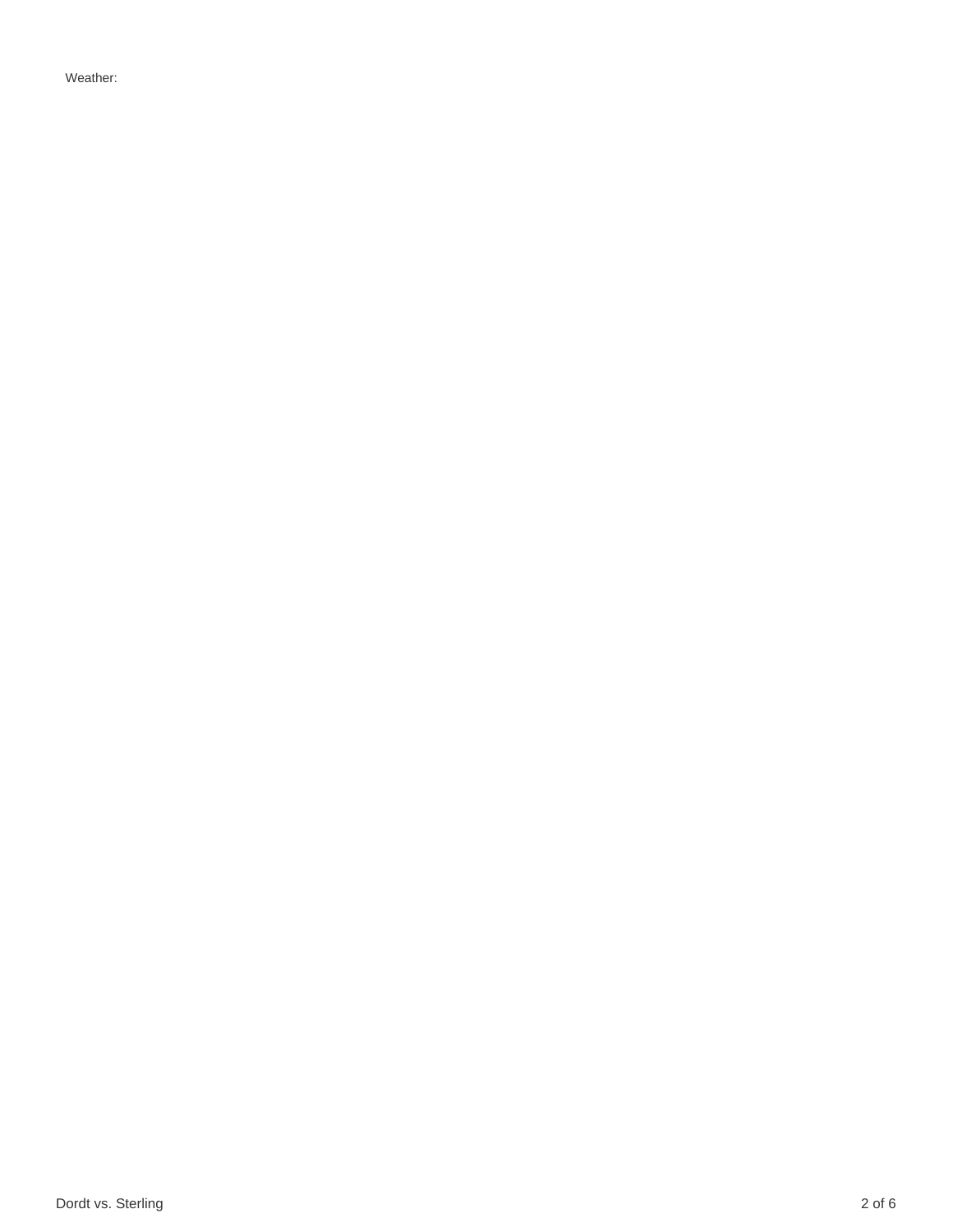Weather: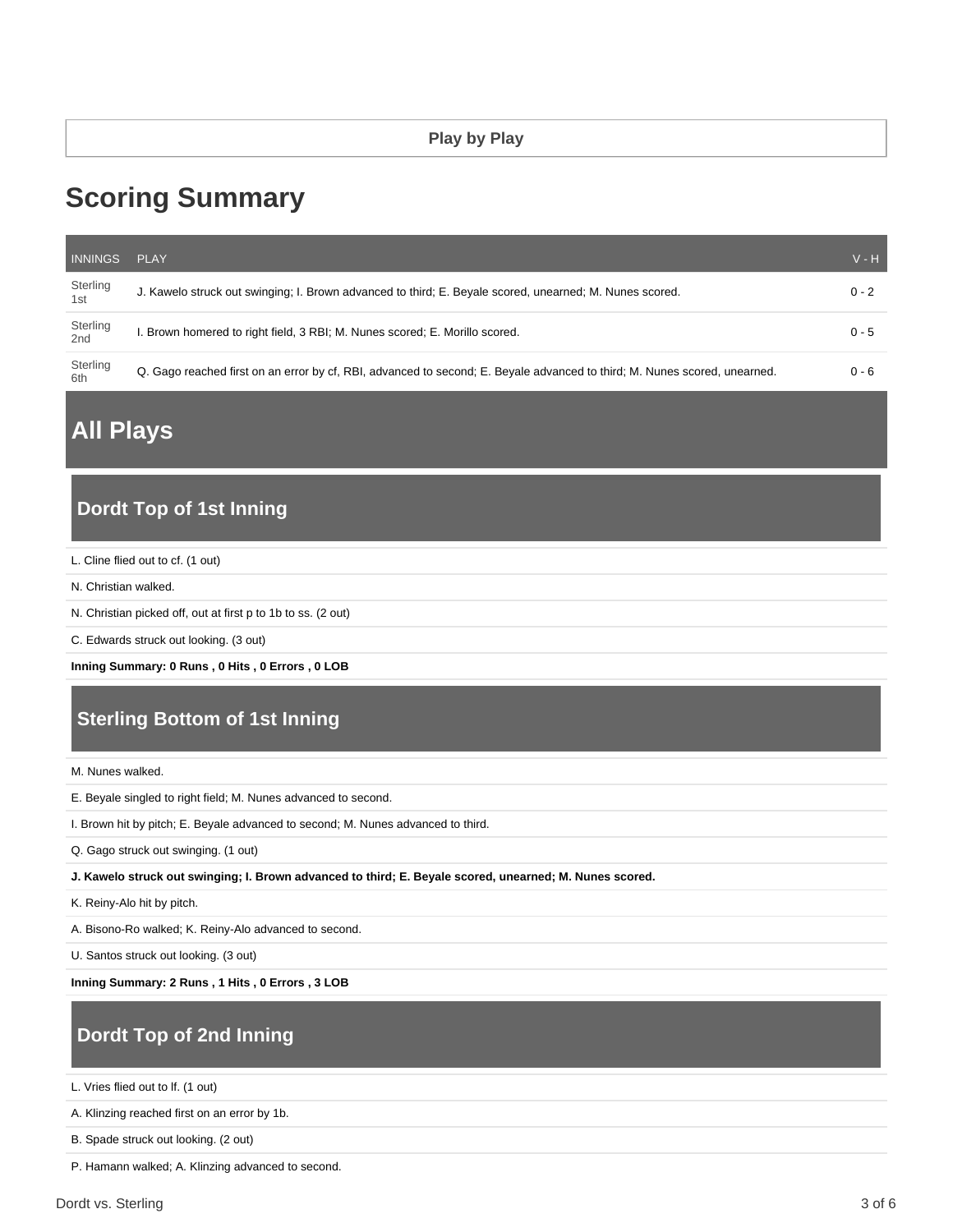#### **Play by Play**

# **Scoring Summary**

| <b>INNINGS</b>              | PLAY                                                                                                                      | $V - H$ |
|-----------------------------|---------------------------------------------------------------------------------------------------------------------------|---------|
| Sterling<br>1 <sub>st</sub> | J. Kawelo struck out swinging; I. Brown advanced to third; E. Beyale scored, unearned; M. Nunes scored.                   | $0 - 2$ |
| Sterling<br>2 <sub>nd</sub> | . Brown homered to right field, 3 RBI; M. Nunes scored; E. Morillo scored.                                                | $0 - 5$ |
| Sterling<br>6th             | Q. Gago reached first on an error by cf, RBI, advanced to second; E. Beyale advanced to third; M. Nunes scored, unearned. | $0 - 6$ |

**All Plays**

### **Dordt Top of 1st Inning**

L. Cline flied out to cf. (1 out)

N. Christian walked.

N. Christian picked off, out at first p to 1b to ss. (2 out)

C. Edwards struck out looking. (3 out)

**Inning Summary: 0 Runs , 0 Hits , 0 Errors , 0 LOB**

# **Sterling Bottom of 1st Inning**

M. Nunes walked.

E. Beyale singled to right field; M. Nunes advanced to second.

I. Brown hit by pitch; E. Beyale advanced to second; M. Nunes advanced to third.

Q. Gago struck out swinging. (1 out)

**J. Kawelo struck out swinging; I. Brown advanced to third; E. Beyale scored, unearned; M. Nunes scored.**

K. Reiny-Alo hit by pitch.

A. Bisono-Ro walked; K. Reiny-Alo advanced to second.

U. Santos struck out looking. (3 out)

**Inning Summary: 2 Runs , 1 Hits , 0 Errors , 3 LOB**

# **Dordt Top of 2nd Inning**

L. Vries flied out to lf. (1 out)

A. Klinzing reached first on an error by 1b.

B. Spade struck out looking. (2 out)

P. Hamann walked; A. Klinzing advanced to second.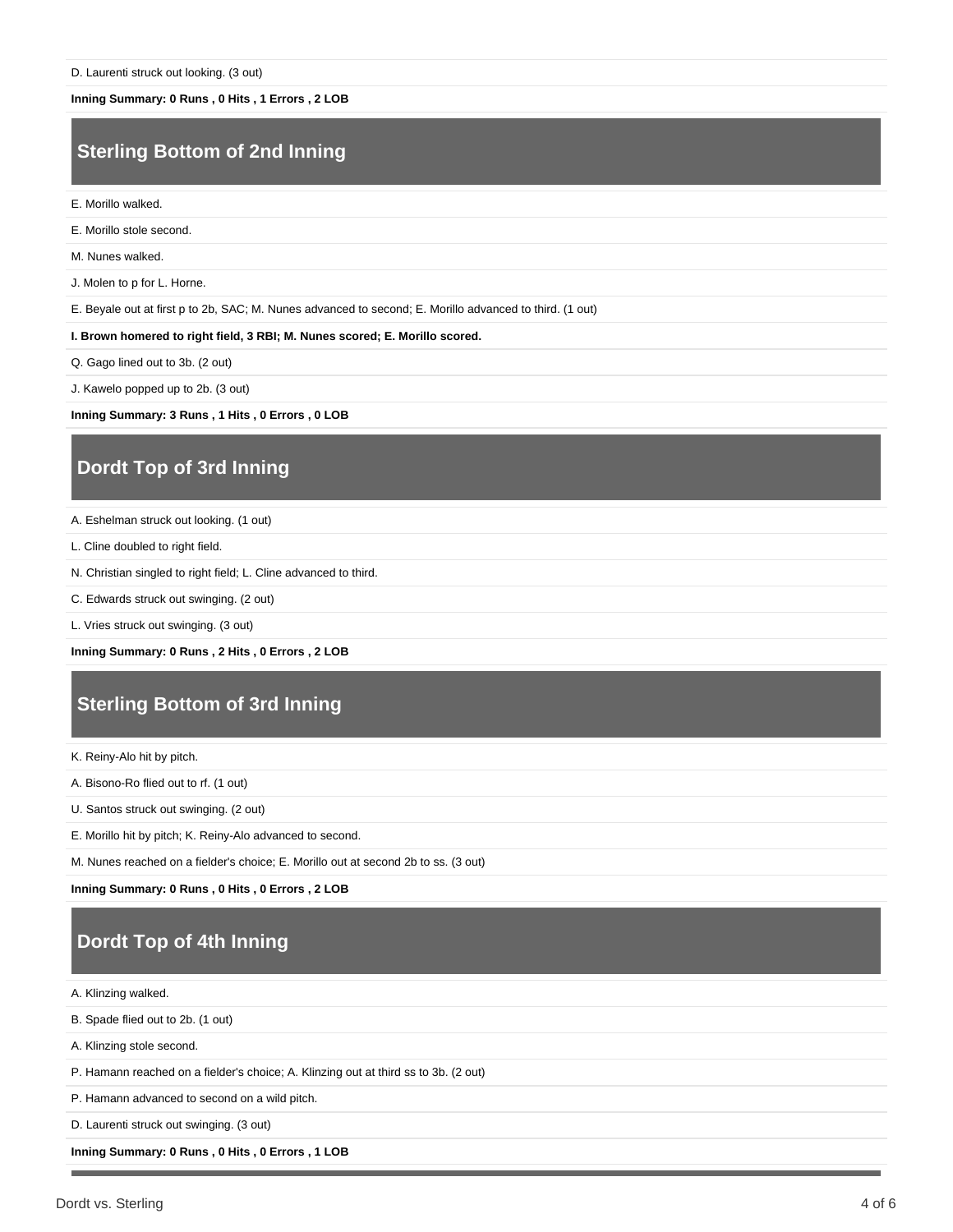**Inning Summary: 0 Runs , 0 Hits , 1 Errors , 2 LOB**

#### **Sterling Bottom of 2nd Inning**

E. Morillo walked.

E. Morillo stole second.

M. Nunes walked.

J. Molen to p for L. Horne.

E. Beyale out at first p to 2b, SAC; M. Nunes advanced to second; E. Morillo advanced to third. (1 out)

**I. Brown homered to right field, 3 RBI; M. Nunes scored; E. Morillo scored.**

Q. Gago lined out to 3b. (2 out)

J. Kawelo popped up to 2b. (3 out)

**Inning Summary: 3 Runs , 1 Hits , 0 Errors , 0 LOB**

#### **Dordt Top of 3rd Inning**

A. Eshelman struck out looking. (1 out)

L. Cline doubled to right field.

N. Christian singled to right field; L. Cline advanced to third.

C. Edwards struck out swinging. (2 out)

L. Vries struck out swinging. (3 out)

**Inning Summary: 0 Runs , 2 Hits , 0 Errors , 2 LOB**

#### **Sterling Bottom of 3rd Inning**

K. Reiny-Alo hit by pitch.

A. Bisono-Ro flied out to rf. (1 out)

U. Santos struck out swinging. (2 out)

E. Morillo hit by pitch; K. Reiny-Alo advanced to second.

M. Nunes reached on a fielder's choice; E. Morillo out at second 2b to ss. (3 out)

**Inning Summary: 0 Runs , 0 Hits , 0 Errors , 2 LOB**

## **Dordt Top of 4th Inning**

A. Klinzing walked.

B. Spade flied out to 2b. (1 out)

A. Klinzing stole second.

P. Hamann reached on a fielder's choice; A. Klinzing out at third ss to 3b. (2 out)

P. Hamann advanced to second on a wild pitch.

D. Laurenti struck out swinging. (3 out)

**Inning Summary: 0 Runs , 0 Hits , 0 Errors , 1 LOB**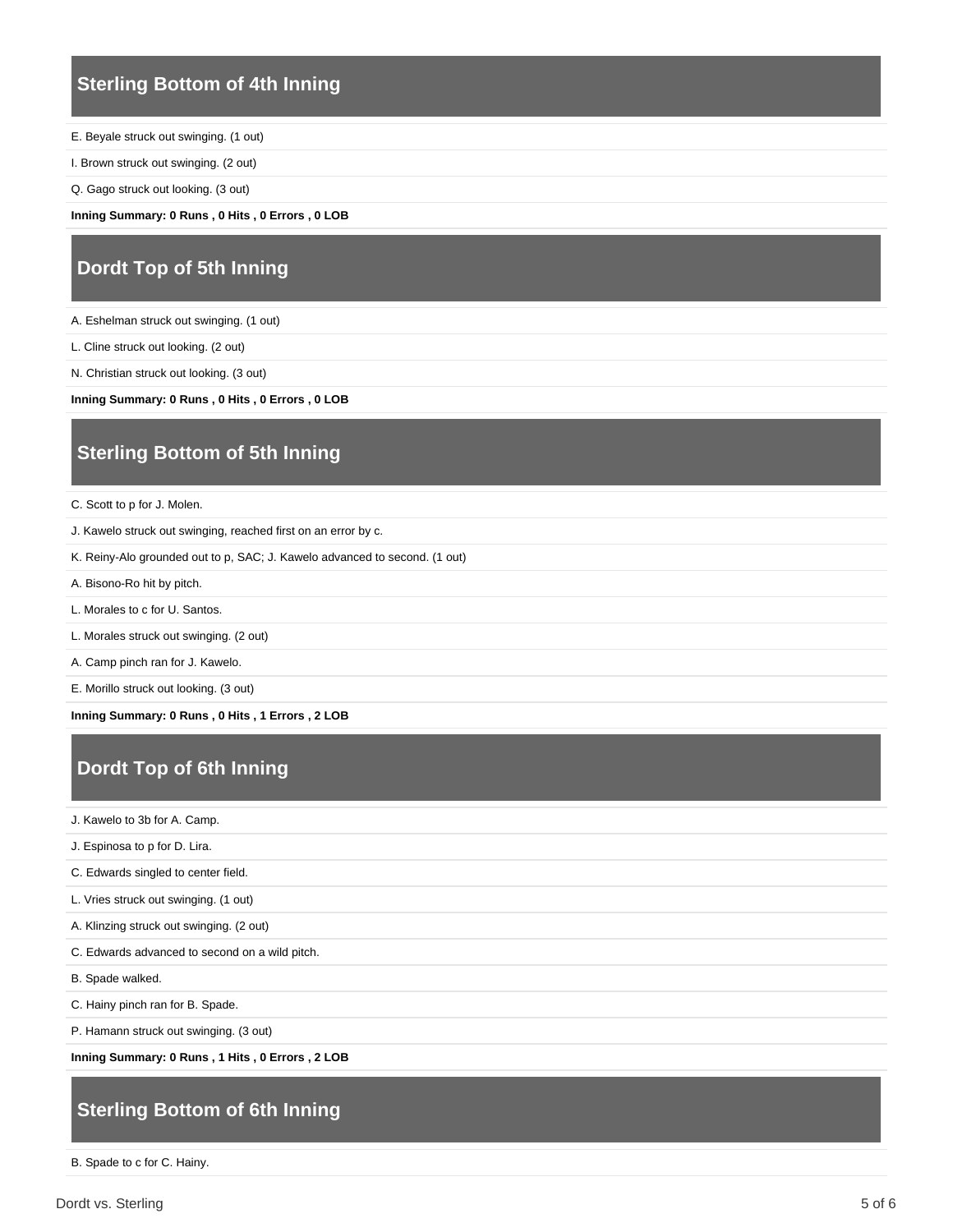#### **Sterling Bottom of 4th Inning**

E. Beyale struck out swinging. (1 out)

I. Brown struck out swinging. (2 out)

Q. Gago struck out looking. (3 out)

**Inning Summary: 0 Runs , 0 Hits , 0 Errors , 0 LOB**

# **Dordt Top of 5th Inning**

A. Eshelman struck out swinging. (1 out)

L. Cline struck out looking. (2 out)

N. Christian struck out looking. (3 out)

**Inning Summary: 0 Runs , 0 Hits , 0 Errors , 0 LOB**

## **Sterling Bottom of 5th Inning**

C. Scott to p for J. Molen.

J. Kawelo struck out swinging, reached first on an error by c.

K. Reiny-Alo grounded out to p, SAC; J. Kawelo advanced to second. (1 out)

A. Bisono-Ro hit by pitch.

L. Morales to c for U. Santos.

L. Morales struck out swinging. (2 out)

A. Camp pinch ran for J. Kawelo.

E. Morillo struck out looking. (3 out)

**Inning Summary: 0 Runs , 0 Hits , 1 Errors , 2 LOB**

# **Dordt Top of 6th Inning**

J. Kawelo to 3b for A. Camp.

J. Espinosa to p for D. Lira.

C. Edwards singled to center field.

L. Vries struck out swinging. (1 out)

A. Klinzing struck out swinging. (2 out)

C. Edwards advanced to second on a wild pitch.

B. Spade walked.

C. Hainy pinch ran for B. Spade.

P. Hamann struck out swinging. (3 out)

**Inning Summary: 0 Runs , 1 Hits , 0 Errors , 2 LOB**

## **Sterling Bottom of 6th Inning**

B. Spade to c for C. Hainy.